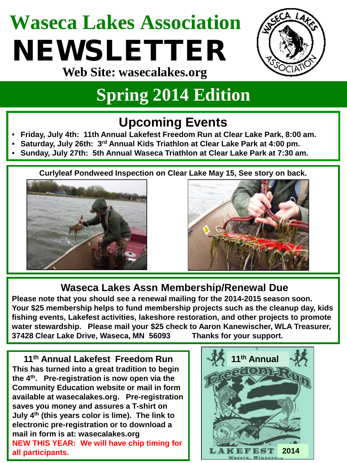# **Waseca Lakes Association** NEWSLETTER



**Web Site: wasecalakes.org**

### **Spring 2014 Edition**

### **Upcoming Events**

- **Friday, July 4th: 11th Annual Lakefest Freedom Run at Clear Lake Park, 8:00 am.**
- **Saturday, July 26th: 3rd Annual Kids Triathlon at Clear Lake Park at 4:00 pm.**
- **Sunday, July 27th: 5th Annual Waseca Triathlon at Clear Lake Park at 7:30 am.**

**Curlyleaf Pondweed Inspection on Clear Lake May 15, See story on back.**





#### **Waseca Lakes Assn Membership/Renewal Due**

**Please note that you should see a renewal mailing for the 2014-2015 season soon. Your \$25 membership helps to fund membership projects such as the cleanup day, kids fishing events, Lakefest activities, lakeshore restoration, and other projects to promote water stewardship. Please mail your \$25 check to Aaron Kanewischer, WLA Treasurer, 37428 Clear Lake Drive, Waseca, MN 56093 Thanks for your support.**

**11th Annual Lakefest Freedom Run This has turned into a great tradition to begin the 4th. Pre-registration is now open via the Community Education website or mail in form available at wasecalakes.org. Pre-registration saves you money and assures a T-shirt on July 4th (this years color is lime). The link to electronic pre-registration or to download a mail in form is at: wasecalakes.org NEW THIS YEAR: We will have chip timing for all participants.**